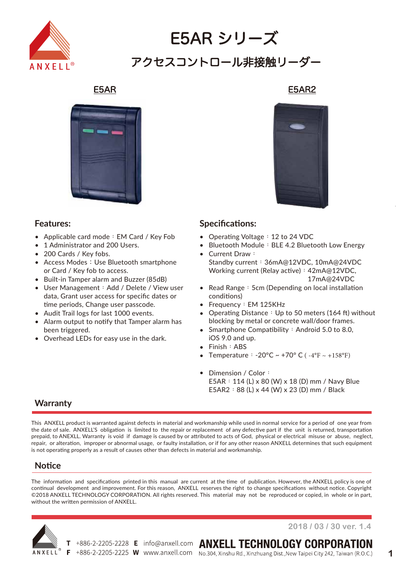

# E5AR シリーズ アクセスコントロール非接触リーダー



### **Features:**

- Applicable card mode: EM Card / Key Fob •
- 1 Administrator and 200 Users. •
- 200 Cards / Key fobs. •
- Access Modes: Use Bluetooth smartphone or Card / Key fob to access. •
- Built-in Tamper alarm and Buzzer (85dB) •
- User Management: Add / Delete / View user data, Grant user access for specific dates or time periods, Change user passcode. •
- Audit Trail logs for last 1000 events.
- Alarm output to notify that Tamper alarm has been triggered. •
- Overhead LEDs for easy use in the dark. •

#### E5AR E5AR2



#### **Specifications:**

- Operating Voltage: 12 to 24 VDC
- Bluetooth Module: BLE 4.2 Bluetooth Low Energy •
- Current Draw: Standby current: 36mA@12VDC, 10mA@24VDC Working current (Relay active): 42mA@12VDC, 17mA@24VDC •
- Read Range: 5cm (Depending on local installation conditions)
- Frequency: EM 125KHz
- Operating Distance: Up to 50 meters (164 ft) without blocking by metal or concrete wall/door frames.
- Smartphone Compatibility : Android 5.0 to 8.0, iOS 9.0 and up.
- Finish: ABS
- Temperature:  $-20^{\circ}C \sim +70^{\circ} C (-4^{\circ}F \sim +158^{\circ}F)$
- Dimension / Color: E5AR:114 (L) x 80 (W) x 18 (D) mm / Navy Blue E5AR2:88 (L) x 44 (W) x 23 (D) mm / Black

## **Warranty**

This ANXELL product is warranted against defects in material and workmanship while used in normal service for a period of one year from the date of sale. ANXELL'S obligation is limited to the repair or replacement of any defective part if the unit is returned, transportation prepaid, to ANEXLL. Warranty is void if damage is caused by or attributed to acts of God, physical or electrical misuse or abuse, neglect, repair, or alteration, improper or abnormal usage, or faulty installation, or if for any other reason ANXELL determines that such equipment is not operating properly as a result of causes other than defects in material and workmanship.

## **Notice**

The information and specifications printed in this manual are current at the time of publication. However, the ANXELL policy is one of continual development and improvement. For this reason, ANXELL reserves the right to change specifications without notice. Copyright ©2018 ANXELL TECHNOLOGY CORPORATION. All rights reserved. This material may not be reproduced or copied, in whole or in part, without the written permission of ANXELL.



**2018 / 03 / 30 ver. 1.4**

T +886-2-2205-2228 E info@anxell.com ANXELL TECHNOLOGY CORPORATION

F +886-2-2205-2225 W www.anxell.com No.304, Xinshu Rd., Xinzhuang Dist., New Taipei City 242, Taiwan (R.O.C.)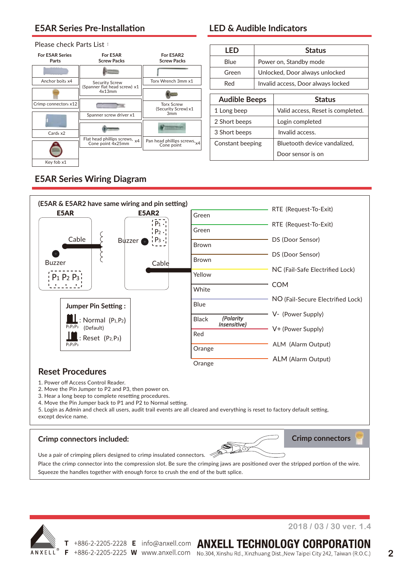# **E5AR Series Pre-Installation**

#### Please check Parts List:



# **LED & Audible Indicators**

| LED              |                                       | <b>Status</b>                |  |  |  |
|------------------|---------------------------------------|------------------------------|--|--|--|
| Blue             | Power on, Standby mode                |                              |  |  |  |
| Green            | Unlocked, Door always unlocked        |                              |  |  |  |
| Red              | Invalid access, Door always locked    |                              |  |  |  |
|                  |                                       |                              |  |  |  |
|                  | <b>Audible Beeps</b><br><b>Status</b> |                              |  |  |  |
| 1 Long beep      | Valid access, Reset is completed.     |                              |  |  |  |
| 2 Short beeps    |                                       | Login completed              |  |  |  |
| 3 Short beeps    |                                       | Invalid access.              |  |  |  |
| Constant beeping |                                       | Bluetooth device vandalized, |  |  |  |
|                  |                                       | Door sensor is on            |  |  |  |

# **E5AR Series Wiring Diagram**



1. Power off Access Control Reader.

2. Move the Pin Jumper to P2 and P3, then power on.

3. Hear a long beep to complete resetting procedures.

4. Move the Pin Jumper back to P1 and P2 to Normal setting.

5. Login as Admin and check all users, audit trail events are all cleared and everything is reset to factory default setting, except device name.

#### **Crimp connectors included:**



**Crimp connectors**

Use a pair of crimping pliers designed to crimp insulated connectors.

Place the crimp connector into the compression slot. Be sure the crimping jaws are positioned over the stripped portion of the wire. Squeeze the handles together with enough force to crush the end of the butt splice.



**2018 / 03 / 30 ver. 1.4**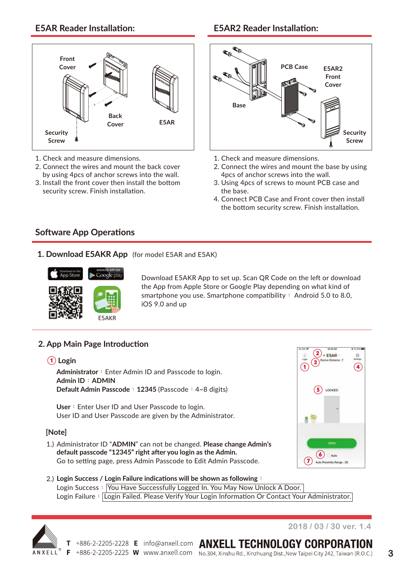# **Front Cover Security Screw Back Cover E5AR**

- 1. Check and measure dimensions.
- 2. Connect the wires and mount the back cover by using 4pcs of anchor screws into the wall.
- 3. Install the front cover then install the bottom security screw. Finish installation.

# **E5AR Reader Installation: E5AR2 Reader Installation:**



- 1. Check and measure dimensions.
- 2. Connect the wires and mount the base by using 4pcs of anchor screws into the wall.
- 3. Using 4pcs of screws to mount PCB case and the base.
- 4. Connect PCB Case and Front cover then install the bottom security screw. Finish installation.

# **Software App Operations**

**1. Download E5AKR App** (for model E5AR and E5AK)



Download E5AKR App to set up. Scan QR Code on the left or download the App from Apple Store or Google Play depending on what kind of smartphone you use. Smartphone compatibility: Android 5.0 to 8.0, iOS 9.0 and up

#### **2. App Main Page Introduction**

#### **① Login**

Administrator : Enter Admin ID and Passcode to login. **Admin ID**:**ADMIN Default Admin Passcode**: 12345 (Passcode: 4~8 digits)

User: Enter User ID and User Passcode to login. User ID and User Passcode are given by the Administrator.

#### **[Note]**

Administrator ID "**ADMIN**" can not be changed. **Please change Admin's** 1.) **default passcode "12345" right after you login as the Admin.** Go to setting page, press Admin Passcode to Edit Admin Passcode.



**Login Success / Login Failure indications will be shown as following**: 2.) Login Success: You Have Successfully Logged In. You May Now Unlock A Door. Login Failure: Login Failed. Please Verify Your Login Information Or Contact Your Administrator.



**2018 / 03 / 30 ver. 1.4**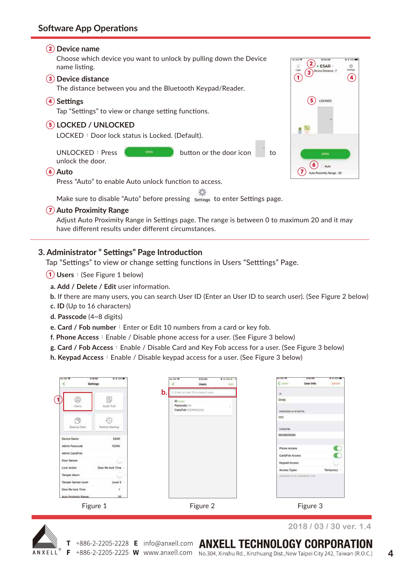#### **② Device name**

Choose which device you want to unlock by pulling down the Device name listing.

#### **③ Device distance**

The distance between you and the Bluetooth Keypad/Reader.

#### **④ Settings**

Tap "Settings" to view or change setting functions.

#### **⑤ LOCKED / UNLOCKED**

LOCKED: Door lock status is Locked. (Default).

UNLOCKED: Press **button** button or the door icon to unlock the door.

#### **⑥ Auto**

Press "Auto" to enable Auto unlock function to access.

Make sure to disable "Auto" before pressing settings to enter Settings page.

#### **⑦ Auto Proximity Range**

Adjust Auto Proximity Range in Settings page. The range is between 0 to maximum 20 and it may have different results under different circumstances.

#### **3. Administrator " Settings" Page Introduction**

Tap "Settings" to view or change setting functions in Users "Setttings" Page.

- **① Users**:(See Figure 1 below)
	- **a. Add / Delete / Edit** user information.
	- **b.** If there are many users, you can search User ID (Enter an User ID to search user). (See Figure 2 below)
	- **c. ID** (Up to 16 characters)
	- **d. Passcode** (4~8 digits)

**e. Card / Fob number**: Enter or Edit 10 numbers from a card or key fob.

- **f. Phone Access**: Enable / Disable phone access for a user. (See Figure 3 below)
- **g. Card / Fob Access**:Enable / Disable Card and Key Fob access for a user. (See Figure 3 below)
- **h. Keypad Access**:Enable / Disable keypad access for a user. (See Figure 3 below)

| <b>The State RP</b><br>k | ■ 1.96%■<br>AT 16 PM<br>Settings |    | <b>No Star P</b>                     | <b>BEEAM</b><br><b>Users</b>      | $014769 +$<br>AALL | <b>The Dist TP</b><br><users< th=""><th>342 PM<br/>User Info</th><th><b>2155K</b><br/>Detaile</th></users<> | 342 PM<br>User Info                | <b>2155K</b><br>Detaile |
|--------------------------|----------------------------------|----|--------------------------------------|-----------------------------------|--------------------|-------------------------------------------------------------------------------------------------------------|------------------------------------|-------------------------|
|                          |                                  | b. |                                      | C. Enter smiser ID to beach user: |                    | $\alpha$                                                                                                    |                                    |                         |
| @<br>1                   | Đ                                |    | <b>ID</b> mary                       |                                   |                    | Cindy                                                                                                       |                                    |                         |
| thers                    | Aucht Trail                      |    | Passcode 1111<br>Card/Fob 0009802242 |                                   |                    | PASSCOOL IA-B DIGITAL                                                                                       |                                    |                         |
|                          | 40                               |    |                                      |                                   |                    | titt                                                                                                        |                                    |                         |
| Backup Data              | <b>Restory Backup</b>            |    |                                      |                                   |                    | CARDIVOR                                                                                                    |                                    |                         |
| Device Name              | ESAR                             |    |                                      |                                   |                    | 0009829080                                                                                                  |                                    |                         |
|                          | 12345                            |    |                                      |                                   |                    |                                                                                                             |                                    |                         |
| Admin Passcode           |                                  |    |                                      |                                   |                    | Phone Access                                                                                                |                                    |                         |
| Admin Card/Fob           |                                  |    |                                      |                                   |                    | Card/Fob Access                                                                                             |                                    |                         |
| Door Sensor              | 3.                               |    |                                      |                                   |                    | Keypad Access                                                                                               |                                    |                         |
| Lock Action              | Door Re-lock Time                |    |                                      |                                   |                    | Access Types                                                                                                |                                    | Temporary               |
| Tamper Alarm             |                                  |    |                                      |                                   |                    |                                                                                                             | 2010/02/01 10:00 -03/48/2011 11:01 |                         |
| Tamper Sensor Level      | $Level 3 -$                      |    |                                      |                                   |                    |                                                                                                             |                                    |                         |
| Door Re-lock Time        | t                                |    |                                      |                                   |                    |                                                                                                             |                                    |                         |
| Auto Proximity Range     | $20 -$                           |    |                                      |                                   |                    |                                                                                                             |                                    |                         |
|                          | Figure 1                         |    |                                      | Figure 2                          |                    |                                                                                                             | Figure 3                           |                         |

+886-2-2205-2225 **W** www.anxell.com No.304, Xinshu Rd., Xinzhuang Dist., New Taipei City 242, Taiwan (R.O.C.)



т

F

+886-2-2205-2228 E info@anxell.com ANXELL TECHNOLOGY CORPORATION

**2018 / 03 / 30 ver. 1.4**

 $(2)$ <sub>\* ESAR</sub> **<sup>③</sup> <sup>④</sup> ① ⑤** LOCKED **(7) (6)** *Auto*<br>**(7)** Auto Processly Range : 20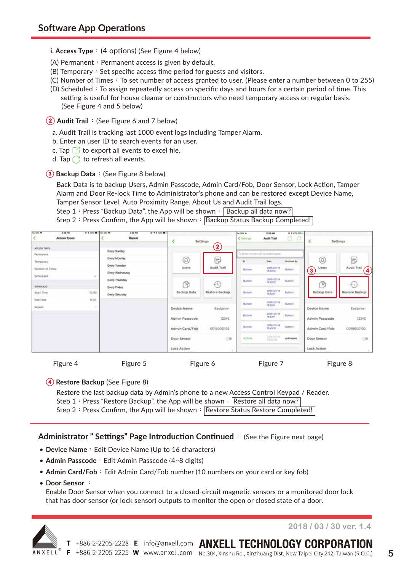#### **i. Access Type**: (4 options) (See Figure 4 below)

- (A) Permanent: Permanent access is given by default.
- $(B)$  Temporary: Set specific access time period for guests and visitors.
- (C) Number of Times: To set number of access granted to user. (Please enter a number between 0 to 255)
- $(D)$  Scheduled: To assign repeatedly access on specific days and hours for a certain period of time. This setting is useful for house cleaner or constructors who need temporary access on regular basis. (See Figure 4 and 5 below)

**② Audit Trail**:(See Figure 6 and 7 below)

- a. Audit Trail is tracking last 1000 event logs including Tamper Alarm.
- b. Enter an user ID to search events for an user.
- c. Tap  $\Box$  to export all events to excel file.
- d. Tap  $\bigcirc$  to refresh all events.

#### **③ Backup Data**:(See Figure 8 below)

Back Data is to backup Users, Admin Passcode, Admin Card/Fob, Door Sensor, Lock Action, Tamper Alarm and Door Re-lock Time to Administrator's phone and can be restored except Device Name,

Tamper Sensor Level, Auto Proximity Range, About Us and Audit Trail logs.

Step 1: Press "Backup Data", the App will be shown: Backup all data now? Step 2: Press Confirm, the App will be shown:  $\overline{Backup}$  Status Backup Completed!

| <b>Fax Situ TP</b>           | 3 38 PM<br>Access Types | <b><i>R E SEL  To THE T</i></b> |                                         | 3 14 PM<br><b>Repeat</b> | <b>9-11-MVW</b> |                    | Settings                                    | the limit for<br>< Settings      | TEGO AM<br><b>Audit Trail</b>                | 01176-001<br>a<br>G |                  | <b>Settings</b>           |
|------------------------------|-------------------------|---------------------------------|-----------------------------------------|--------------------------|-----------------|--------------------|---------------------------------------------|----------------------------------|----------------------------------------------|---------------------|------------------|---------------------------|
| ACCESS TYPES                 |                         |                                 | <b>Every Sunday</b>                     |                          |                 |                    | $\mathbf{2}$                                |                                  |                                              |                     |                  |                           |
| Permanent:                   |                         |                                 | Every Monday                            |                          |                 | ⊗                  | Đ                                           | io.                              | G. Ereer arruner ID to implaturate.<br>time. | <b>University</b>   | ◎                | 6                         |
| Temporary<br>Number of Times |                         |                                 | <b>Every Tuesday</b><br>Every Wednesday |                          |                 | Users              | Audit Trail                                 | and the state<br>Button          | 2018-01-19<br>18-51-12                       | <b>Button</b>       | Users<br>$\odot$ | Audit Trail<br>$\bigcirc$ |
| Scheduled                    |                         | v                               | Every Thursday                          |                          |                 | 尙                  | $\mathcal{L}_{\mathcal{N}}$                 | Button                           | 2038-03-19<br><b>ISS212</b>                  | <b>Button</b>       | ीने              | 43,                       |
| SCHOOLED<br>Start Time       |                         | 10:00<br><b>Contractor</b>      | Every Friday<br><b>Every Saturday</b>   |                          |                 | <b>Backup Data</b> | Restore Bockup                              | Button                           | 2018-03-19<br>165211                         | Button <sup>1</sup> | Backup Data      | Restore Backup            |
| End Time<br>Repeat           |                         | 1100<br>٠                       |                                         |                          |                 | Device Name        | Easiprox*                                   | Button                           | man<br>2018-00-19<br><b>15.52 lb</b>         | Button              | Device Name      | Easiprox*                 |
|                              |                         |                                 |                                         |                          | Admin Passcode  | 12345              | Button                                      | -111-11<br>2018-00-19<br>1652.11 | <b>Dutton</b>                                | Admin Passcode      | 12345            |                           |
|                              |                         |                                 |                                         |                          |                 | Admin Card/Fob     | <b>FARANCE RESERVED AND S</b><br>0019000102 | Button                           | $-1111277$<br>2018-03-19<br><b>1545.58</b>   | <b>Button</b>       | Admin Card/Fob   | 0019000102                |
|                              |                         |                                 |                                         |                          |                 | Door Sensor        | (3)                                         | ADMIN                            | 2010-03-19<br>0822.01                        | unknown             | Door Sensor      | (3)                       |
|                              |                         |                                 |                                         |                          |                 | Lock Action        |                                             |                                  |                                              |                     | Lock Action      | ×                         |

Figure 4 Figure 5 Figure 6 Figure 7 Figure 8

#### **④ Restore Backup** (See Figure 8)

Restore the last backup data by Admin's phone to a new Access Control Keypad / Reader. Step 1: Press "Restore Backup", the App will be shown: Restore all data now? Step 2: Press Confirm, the App will be shown: Restore Status Restore Completed!

#### **Administrator " Settings" Page Introduction Continued**: (See the Figure next page)

- **Device Name**: Edit Device Name (Up to 16 characters)
- Admin Passcode: Edit Admin Passcode (4~8 digits)
- Admin Card/Fob: Edit Admin Card/Fob number (10 numbers on your card or key fob)
- **Door Sensor** :

Enable Door Sensor when you connect to a closed-circuit magnetic sensors or a monitored door lock that has door sensor (or lock sensor) outputs to monitor the open or closed state of a door.



**2018 / 03 / 30 ver. 1.4**